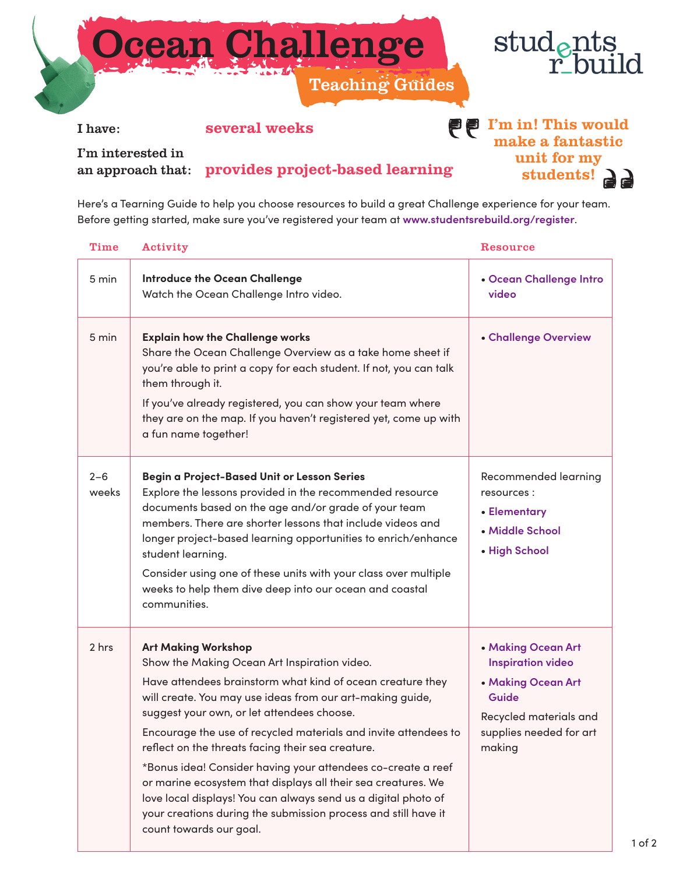



I have: several weeks

## **PP** I'm in! This would make a fantastic unit for my students! a

I'm interested in

an approach that: provides project-based learning

Here's a Tearning Guide to help you choose resources to build a great Challenge experience for your team. Before getting started, make sure you've registered your team at **[www.studentsrebuild.org/register](http://www.studentsrebuild.org/register)**.

| Time             | Activity                                                                                                                                                                                                                                                                                                                                                                                                                                                                                                                                                                                                                                                                    | Resource                                                                                                                                     |
|------------------|-----------------------------------------------------------------------------------------------------------------------------------------------------------------------------------------------------------------------------------------------------------------------------------------------------------------------------------------------------------------------------------------------------------------------------------------------------------------------------------------------------------------------------------------------------------------------------------------------------------------------------------------------------------------------------|----------------------------------------------------------------------------------------------------------------------------------------------|
| 5 min            | <b>Introduce the Ocean Challenge</b><br>Watch the Ocean Challenge Intro video.                                                                                                                                                                                                                                                                                                                                                                                                                                                                                                                                                                                              | • Ocean Challenge Intro<br>video                                                                                                             |
| 5 min            | <b>Explain how the Challenge works</b><br>Share the Ocean Challenge Overview as a take home sheet if<br>you're able to print a copy for each student. If not, you can talk<br>them through it.<br>If you've already registered, you can show your team where<br>they are on the map. If you haven't registered yet, come up with<br>a fun name together!                                                                                                                                                                                                                                                                                                                    | • Challenge Overview                                                                                                                         |
| $2 - 6$<br>weeks | Begin a Project-Based Unit or Lesson Series<br>Explore the lessons provided in the recommended resource<br>documents based on the age and/or grade of your team<br>members. There are shorter lessons that include videos and<br>longer project-based learning opportunities to enrich/enhance<br>student learning.<br>Consider using one of these units with your class over multiple<br>weeks to help them dive deep into our ocean and coastal<br>communities.                                                                                                                                                                                                           | Recommended learning<br>resources:<br>• Elementary<br>• Middle School<br>• High School                                                       |
| 2 hrs            | <b>Art Making Workshop</b><br>Show the Making Ocean Art Inspiration video.<br>Have attendees brainstorm what kind of ocean creature they<br>will create. You may use ideas from our art-making guide,<br>suggest your own, or let attendees choose.<br>Encourage the use of recycled materials and invite attendees to<br>reflect on the threats facing their sea creature.<br>*Bonus idea! Consider having your attendees co-create a reef<br>or marine ecosystem that displays all their sea creatures. We<br>love local displays! You can always send us a digital photo of<br>your creations during the submission process and still have it<br>count towards our goal. | • Making Ocean Art<br><b>Inspiration video</b><br>• Making Ocean Art<br>Guide<br>Recycled materials and<br>supplies needed for art<br>making |